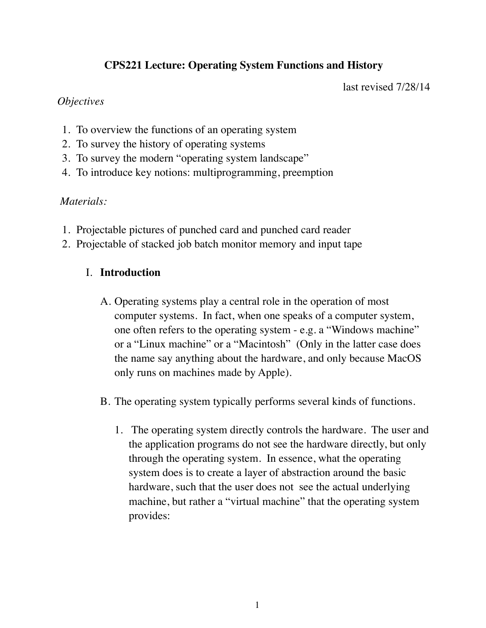# **CPS221 Lecture: Operating System Functions and History**

last revised 7/28/14

### *Objectives*

- 1. To overview the functions of an operating system
- 2. To survey the history of operating systems
- 3. To survey the modern "operating system landscape"
- 4. To introduce key notions: multiprogramming, preemption

## *Materials:*

- 1. Projectable pictures of punched card and punched card reader
- 2. Projectable of stacked job batch monitor memory and input tape

## I. **Introduction**

- A. Operating systems play a central role in the operation of most computer systems. In fact, when one speaks of a computer system, one often refers to the operating system - e.g. a "Windows machine" or a "Linux machine" or a "Macintosh" (Only in the latter case does the name say anything about the hardware, and only because MacOS only runs on machines made by Apple).
- B. The operating system typically performs several kinds of functions.
	- 1. The operating system directly controls the hardware. The user and the application programs do not see the hardware directly, but only through the operating system. In essence, what the operating system does is to create a layer of abstraction around the basic hardware, such that the user does not see the actual underlying machine, but rather a "virtual machine" that the operating system provides: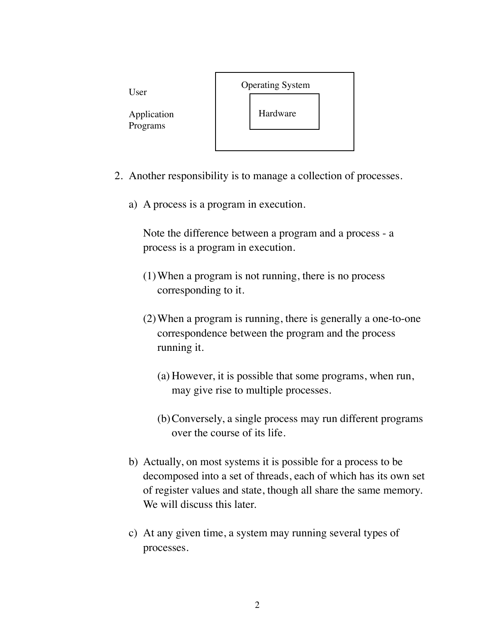

- 2. Another responsibility is to manage a collection of processes.
	- a) A process is a program in execution.

Note the difference between a program and a process - a process is a program in execution.

- (1)When a program is not running, there is no process corresponding to it.
- (2)When a program is running, there is generally a one-to-one correspondence between the program and the process running it.
	- (a) However, it is possible that some programs, when run, may give rise to multiple processes.
	- (b)Conversely, a single process may run different programs over the course of its life.
- b) Actually, on most systems it is possible for a process to be decomposed into a set of threads, each of which has its own set of register values and state, though all share the same memory. We will discuss this later.
- c) At any given time, a system may running several types of processes.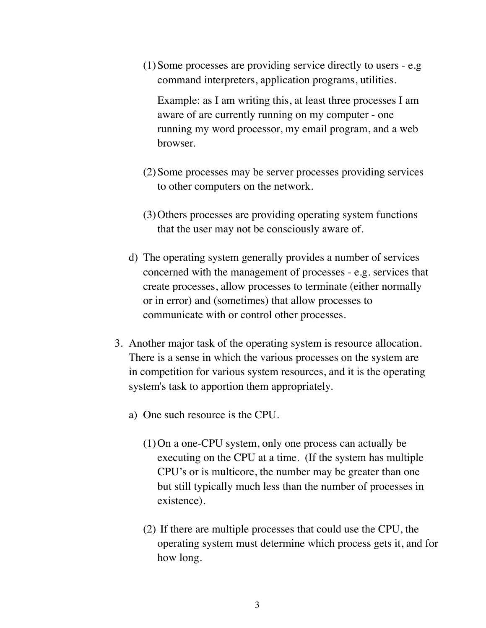(1)Some processes are providing service directly to users - e.g command interpreters, application programs, utilities.

Example: as I am writing this, at least three processes I am aware of are currently running on my computer - one running my word processor, my email program, and a web browser.

- (2)Some processes may be server processes providing services to other computers on the network.
- (3)Others processes are providing operating system functions that the user may not be consciously aware of.
- d) The operating system generally provides a number of services concerned with the management of processes - e.g. services that create processes, allow processes to terminate (either normally or in error) and (sometimes) that allow processes to communicate with or control other processes.
- 3. Another major task of the operating system is resource allocation. There is a sense in which the various processes on the system are in competition for various system resources, and it is the operating system's task to apportion them appropriately.
	- a) One such resource is the CPU.
		- (1)On a one-CPU system, only one process can actually be executing on the CPU at a time. (If the system has multiple CPU's or is multicore, the number may be greater than one but still typically much less than the number of processes in existence).
		- (2) If there are multiple processes that could use the CPU, the operating system must determine which process gets it, and for how long.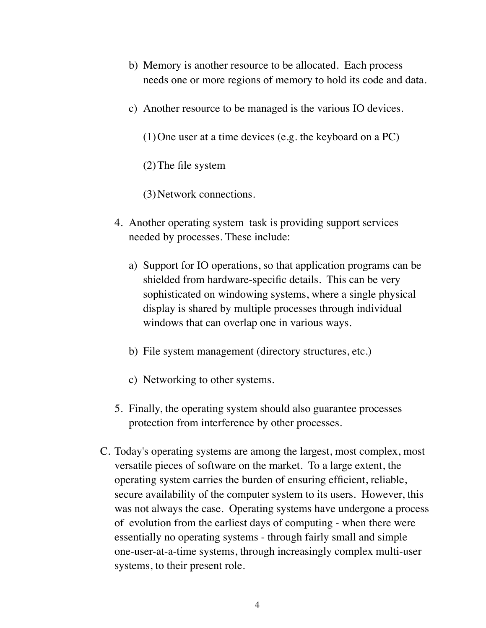- b) Memory is another resource to be allocated. Each process needs one or more regions of memory to hold its code and data.
- c) Another resource to be managed is the various IO devices.
	- (1)One user at a time devices (e.g. the keyboard on a PC)
	- (2)The file system
	- (3)Network connections.
- 4. Another operating system task is providing support services needed by processes. These include:
	- a) Support for IO operations, so that application programs can be shielded from hardware-specific details. This can be very sophisticated on windowing systems, where a single physical display is shared by multiple processes through individual windows that can overlap one in various ways.
	- b) File system management (directory structures, etc.)
	- c) Networking to other systems.
- 5. Finally, the operating system should also guarantee processes protection from interference by other processes.
- C. Today's operating systems are among the largest, most complex, most versatile pieces of software on the market. To a large extent, the operating system carries the burden of ensuring efficient, reliable, secure availability of the computer system to its users. However, this was not always the case. Operating systems have undergone a process of evolution from the earliest days of computing - when there were essentially no operating systems - through fairly small and simple one-user-at-a-time systems, through increasingly complex multi-user systems, to their present role.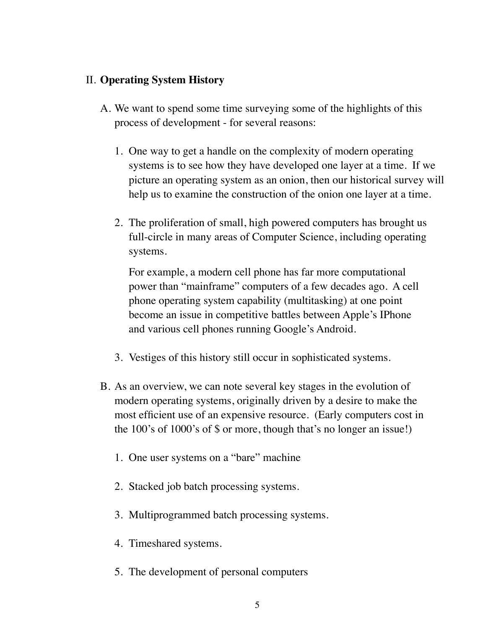## II. **Operating System History**

- A. We want to spend some time surveying some of the highlights of this process of development - for several reasons:
	- 1. One way to get a handle on the complexity of modern operating systems is to see how they have developed one layer at a time. If we picture an operating system as an onion, then our historical survey will help us to examine the construction of the onion one layer at a time.
	- 2. The proliferation of small, high powered computers has brought us full-circle in many areas of Computer Science, including operating systems.

For example, a modern cell phone has far more computational power than "mainframe" computers of a few decades ago. A cell phone operating system capability (multitasking) at one point become an issue in competitive battles between Apple's IPhone and various cell phones running Google's Android.

- 3. Vestiges of this history still occur in sophisticated systems.
- B. As an overview, we can note several key stages in the evolution of modern operating systems, originally driven by a desire to make the most efficient use of an expensive resource. (Early computers cost in the 100's of 1000's of \$ or more, though that's no longer an issue!)
	- 1. One user systems on a "bare" machine
	- 2. Stacked job batch processing systems.
	- 3. Multiprogrammed batch processing systems.
	- 4. Timeshared systems.
	- 5. The development of personal computers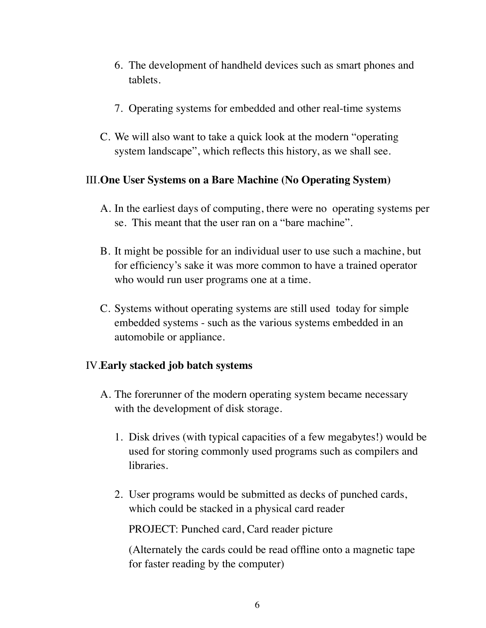- 6. The development of handheld devices such as smart phones and tablets.
- 7. Operating systems for embedded and other real-time systems
- C. We will also want to take a quick look at the modern "operating system landscape", which reflects this history, as we shall see.

### III.**One User Systems on a Bare Machine (No Operating System)**

- A. In the earliest days of computing, there were no operating systems per se. This meant that the user ran on a "bare machine".
- B. It might be possible for an individual user to use such a machine, but for efficiency's sake it was more common to have a trained operator who would run user programs one at a time.
- C. Systems without operating systems are still used today for simple embedded systems - such as the various systems embedded in an automobile or appliance.

#### IV.**Early stacked job batch systems**

- A. The forerunner of the modern operating system became necessary with the development of disk storage.
	- 1. Disk drives (with typical capacities of a few megabytes!) would be used for storing commonly used programs such as compilers and libraries.
	- 2. User programs would be submitted as decks of punched cards, which could be stacked in a physical card reader

PROJECT: Punched card, Card reader picture

(Alternately the cards could be read offline onto a magnetic tape for faster reading by the computer)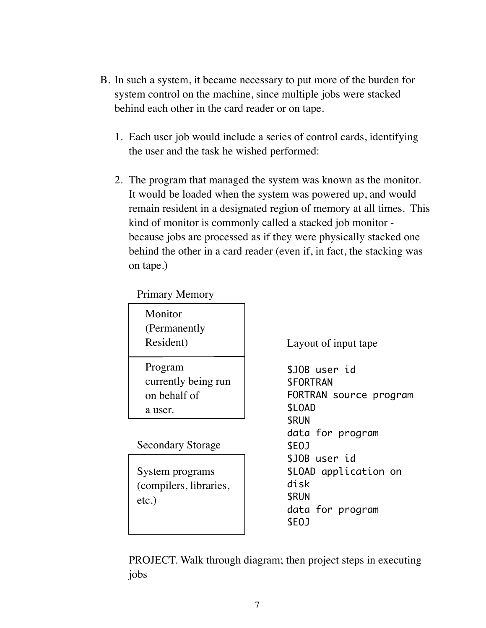- B. In such a system, it became necessary to put more of the burden for system control on the machine, since multiple jobs were stacked behind each other in the card reader or on tape.
	- 1. Each user job would include a series of control cards, identifying the user and the task he wished performed:
	- 2. The program that managed the system was known as the monitor. It would be loaded when the system was powered up, and would remain resident in a designated region of memory at all times. This kind of monitor is commonly called a stacked job monitor because jobs are processed as if they were physically stacked one behind the other in a card reader (even if, in fact, the stacking was on tape.)

### Primary Memory

| Monitor<br>(Permanently<br>Resident)                      |
|-----------------------------------------------------------|
| Program<br>currently being run<br>on behalf of<br>a user. |

Secondary Storage

System programs (compilers, libraries, etc.)

Layout of input tape

\$JOB user id \$FORTRAN FORTRAN source program \$LOAD \$RUN data for program \$EOJ \$JOB user id \$LOAD application on disk \$RUN data for program \$EOJ

PROJECT. Walk through diagram; then project steps in executing jobs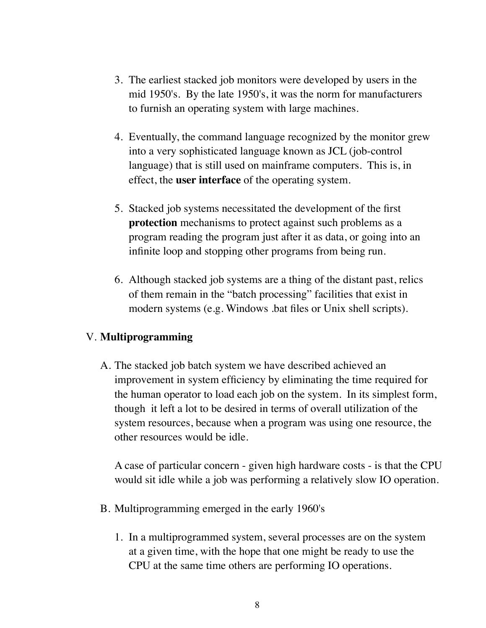- 3. The earliest stacked job monitors were developed by users in the mid 1950's. By the late 1950's, it was the norm for manufacturers to furnish an operating system with large machines.
- 4. Eventually, the command language recognized by the monitor grew into a very sophisticated language known as JCL (job-control language) that is still used on mainframe computers. This is, in effect, the **user interface** of the operating system.
- 5. Stacked job systems necessitated the development of the first **protection** mechanisms to protect against such problems as a program reading the program just after it as data, or going into an infinite loop and stopping other programs from being run.
- 6. Although stacked job systems are a thing of the distant past, relics of them remain in the "batch processing" facilities that exist in modern systems (e.g. Windows .bat files or Unix shell scripts).

## V. **Multiprogramming**

A. The stacked job batch system we have described achieved an improvement in system efficiency by eliminating the time required for the human operator to load each job on the system. In its simplest form, though it left a lot to be desired in terms of overall utilization of the system resources, because when a program was using one resource, the other resources would be idle.

A case of particular concern - given high hardware costs - is that the CPU would sit idle while a job was performing a relatively slow IO operation.

- B. Multiprogramming emerged in the early 1960's
	- 1. In a multiprogrammed system, several processes are on the system at a given time, with the hope that one might be ready to use the CPU at the same time others are performing IO operations.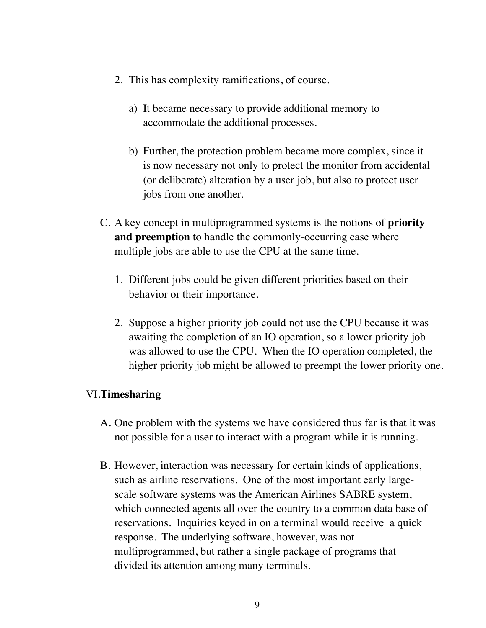- 2. This has complexity ramifications, of course.
	- a) It became necessary to provide additional memory to accommodate the additional processes.
	- b) Further, the protection problem became more complex, since it is now necessary not only to protect the monitor from accidental (or deliberate) alteration by a user job, but also to protect user jobs from one another.
- C. A key concept in multiprogrammed systems is the notions of **priority and preemption** to handle the commonly-occurring case where multiple jobs are able to use the CPU at the same time.
	- 1. Different jobs could be given different priorities based on their behavior or their importance.
	- 2. Suppose a higher priority job could not use the CPU because it was awaiting the completion of an IO operation, so a lower priority job was allowed to use the CPU. When the IO operation completed, the higher priority job might be allowed to preempt the lower priority one.

## VI.**Timesharing**

- A. One problem with the systems we have considered thus far is that it was not possible for a user to interact with a program while it is running.
- B. However, interaction was necessary for certain kinds of applications, such as airline reservations. One of the most important early largescale software systems was the American Airlines SABRE system, which connected agents all over the country to a common data base of reservations. Inquiries keyed in on a terminal would receive a quick response. The underlying software, however, was not multiprogrammed, but rather a single package of programs that divided its attention among many terminals.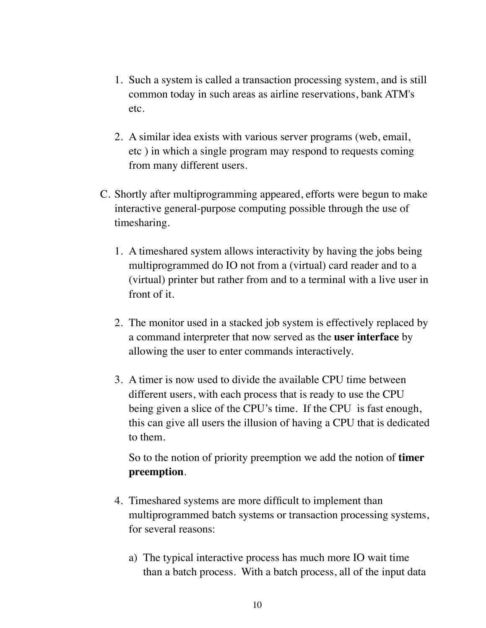- 1. Such a system is called a transaction processing system, and is still common today in such areas as airline reservations, bank ATM's etc.
- 2. A similar idea exists with various server programs (web, email, etc ) in which a single program may respond to requests coming from many different users.
- C. Shortly after multiprogramming appeared, efforts were begun to make interactive general-purpose computing possible through the use of timesharing.
	- 1. A timeshared system allows interactivity by having the jobs being multiprogrammed do IO not from a (virtual) card reader and to a (virtual) printer but rather from and to a terminal with a live user in front of it.
	- 2. The monitor used in a stacked job system is effectively replaced by a command interpreter that now served as the **user interface** by allowing the user to enter commands interactively.
	- 3. A timer is now used to divide the available CPU time between different users, with each process that is ready to use the CPU being given a slice of the CPU's time. If the CPU is fast enough, this can give all users the illusion of having a CPU that is dedicated to them.

So to the notion of priority preemption we add the notion of **timer preemption**.

- 4. Timeshared systems are more difficult to implement than multiprogrammed batch systems or transaction processing systems, for several reasons:
	- a) The typical interactive process has much more IO wait time than a batch process. With a batch process, all of the input data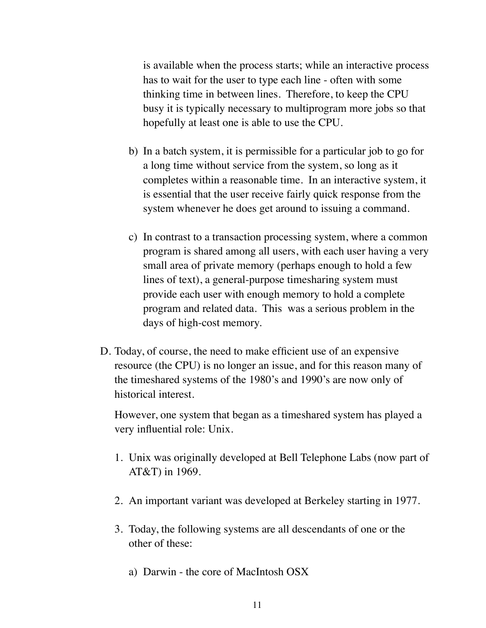is available when the process starts; while an interactive process has to wait for the user to type each line - often with some thinking time in between lines. Therefore, to keep the CPU busy it is typically necessary to multiprogram more jobs so that hopefully at least one is able to use the CPU.

- b) In a batch system, it is permissible for a particular job to go for a long time without service from the system, so long as it completes within a reasonable time. In an interactive system, it is essential that the user receive fairly quick response from the system whenever he does get around to issuing a command.
- c) In contrast to a transaction processing system, where a common program is shared among all users, with each user having a very small area of private memory (perhaps enough to hold a few lines of text), a general-purpose timesharing system must provide each user with enough memory to hold a complete program and related data. This was a serious problem in the days of high-cost memory.
- D. Today, of course, the need to make efficient use of an expensive resource (the CPU) is no longer an issue, and for this reason many of the timeshared systems of the 1980's and 1990's are now only of historical interest.

However, one system that began as a timeshared system has played a very influential role: Unix.

- 1. Unix was originally developed at Bell Telephone Labs (now part of AT&T) in 1969.
- 2. An important variant was developed at Berkeley starting in 1977.
- 3. Today, the following systems are all descendants of one or the other of these:
	- a) Darwin the core of MacIntosh OSX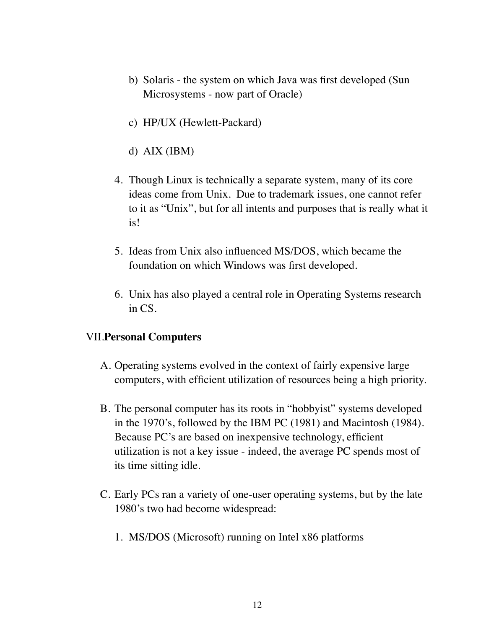- b) Solaris the system on which Java was first developed (Sun Microsystems - now part of Oracle)
- c) HP/UX (Hewlett-Packard)
- d) AIX (IBM)
- 4. Though Linux is technically a separate system, many of its core ideas come from Unix. Due to trademark issues, one cannot refer to it as "Unix", but for all intents and purposes that is really what it is!
- 5. Ideas from Unix also influenced MS/DOS, which became the foundation on which Windows was first developed.
- 6. Unix has also played a central role in Operating Systems research in CS.

#### VII.**Personal Computers**

- A. Operating systems evolved in the context of fairly expensive large computers, with efficient utilization of resources being a high priority.
- B. The personal computer has its roots in "hobbyist" systems developed in the 1970's, followed by the IBM PC (1981) and Macintosh (1984). Because PC's are based on inexpensive technology, efficient utilization is not a key issue - indeed, the average PC spends most of its time sitting idle.
- C. Early PCs ran a variety of one-user operating systems, but by the late 1980's two had become widespread:
	- 1. MS/DOS (Microsoft) running on Intel x86 platforms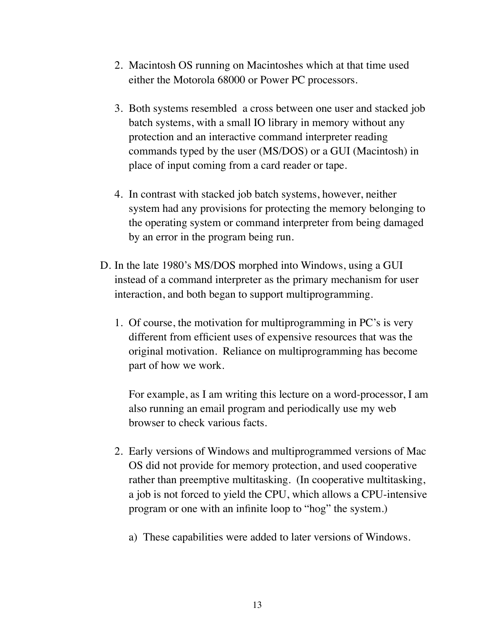- 2. Macintosh OS running on Macintoshes which at that time used either the Motorola 68000 or Power PC processors.
- 3. Both systems resembled a cross between one user and stacked job batch systems, with a small IO library in memory without any protection and an interactive command interpreter reading commands typed by the user (MS/DOS) or a GUI (Macintosh) in place of input coming from a card reader or tape.
- 4. In contrast with stacked job batch systems, however, neither system had any provisions for protecting the memory belonging to the operating system or command interpreter from being damaged by an error in the program being run.
- D. In the late 1980's MS/DOS morphed into Windows, using a GUI instead of a command interpreter as the primary mechanism for user interaction, and both began to support multiprogramming.
	- 1. Of course, the motivation for multiprogramming in PC's is very different from efficient uses of expensive resources that was the original motivation. Reliance on multiprogramming has become part of how we work.

For example, as I am writing this lecture on a word-processor, I am also running an email program and periodically use my web browser to check various facts.

- 2. Early versions of Windows and multiprogrammed versions of Mac OS did not provide for memory protection, and used cooperative rather than preemptive multitasking. (In cooperative multitasking, a job is not forced to yield the CPU, which allows a CPU-intensive program or one with an infinite loop to "hog" the system.)
	- a) These capabilities were added to later versions of Windows.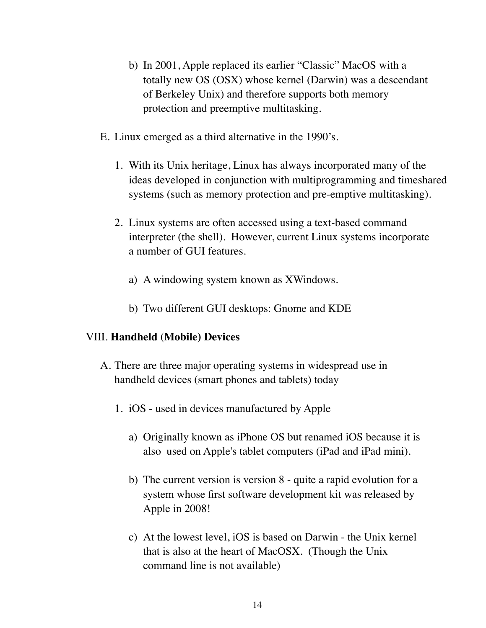- b) In 2001, Apple replaced its earlier "Classic" MacOS with a totally new OS (OSX) whose kernel (Darwin) was a descendant of Berkeley Unix) and therefore supports both memory protection and preemptive multitasking.
- E. Linux emerged as a third alternative in the 1990's.
	- 1. With its Unix heritage, Linux has always incorporated many of the ideas developed in conjunction with multiprogramming and timeshared systems (such as memory protection and pre-emptive multitasking).
	- 2. Linux systems are often accessed using a text-based command interpreter (the shell). However, current Linux systems incorporate a number of GUI features.
		- a) A windowing system known as XWindows.
		- b) Two different GUI desktops: Gnome and KDE

## VIII. **Handheld (Mobile) Devices**

- A. There are three major operating systems in widespread use in handheld devices (smart phones and tablets) today
	- 1. iOS used in devices manufactured by Apple
		- a) Originally known as iPhone OS but renamed iOS because it is also used on Apple's tablet computers (iPad and iPad mini).
		- b) The current version is version 8 quite a rapid evolution for a system whose first software development kit was released by Apple in 2008!
		- c) At the lowest level, iOS is based on Darwin the Unix kernel that is also at the heart of MacOSX. (Though the Unix command line is not available)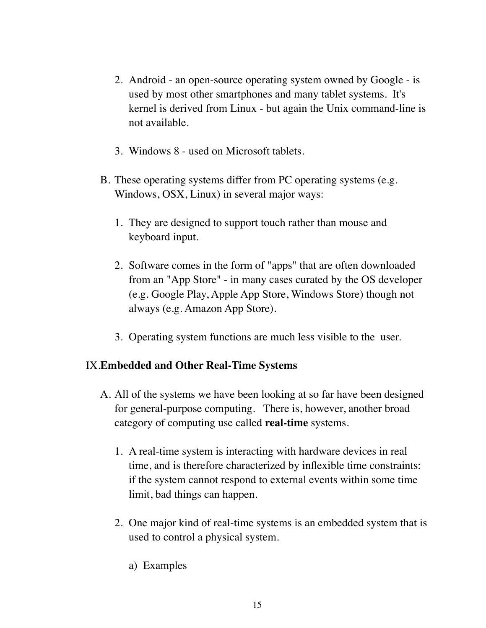- 2. Android an open-source operating system owned by Google is used by most other smartphones and many tablet systems. It's kernel is derived from Linux - but again the Unix command-line is not available.
- 3. Windows 8 used on Microsoft tablets.
- B. These operating systems differ from PC operating systems (e.g. Windows, OSX, Linux) in several major ways:
	- 1. They are designed to support touch rather than mouse and keyboard input.
	- 2. Software comes in the form of "apps" that are often downloaded from an "App Store" - in many cases curated by the OS developer (e.g. Google Play, Apple App Store, Windows Store) though not always (e.g. Amazon App Store).
	- 3. Operating system functions are much less visible to the user.

## IX.**Embedded and Other Real-Time Systems**

- A. All of the systems we have been looking at so far have been designed for general-purpose computing. There is, however, another broad category of computing use called **real-time** systems.
	- 1. A real-time system is interacting with hardware devices in real time, and is therefore characterized by inflexible time constraints: if the system cannot respond to external events within some time limit, bad things can happen.
	- 2. One major kind of real-time systems is an embedded system that is used to control a physical system.
		- a) Examples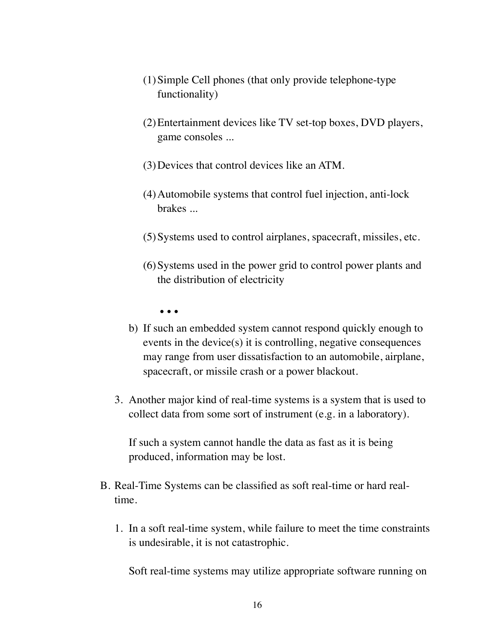- (1)Simple Cell phones (that only provide telephone-type functionality)
- (2)Entertainment devices like TV set-top boxes, DVD players, game consoles ...
- (3)Devices that control devices like an ATM.
- (4)Automobile systems that control fuel injection, anti-lock brakes ...
- (5)Systems used to control airplanes, spacecraft, missiles, etc.
- (6)Systems used in the power grid to control power plants and the distribution of electricity
	- ...
- b) If such an embedded system cannot respond quickly enough to events in the device(s) it is controlling, negative consequences may range from user dissatisfaction to an automobile, airplane, spacecraft, or missile crash or a power blackout.
- 3. Another major kind of real-time systems is a system that is used to collect data from some sort of instrument (e.g. in a laboratory).

If such a system cannot handle the data as fast as it is being produced, information may be lost.

- B. Real-Time Systems can be classified as soft real-time or hard realtime.
	- 1. In a soft real-time system, while failure to meet the time constraints is undesirable, it is not catastrophic.

Soft real-time systems may utilize appropriate software running on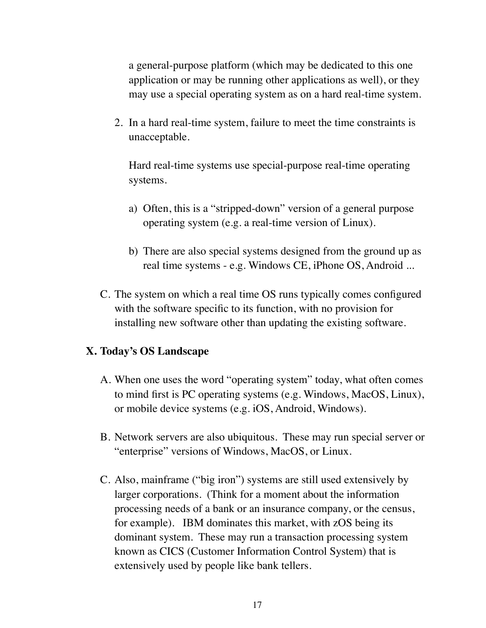a general-purpose platform (which may be dedicated to this one application or may be running other applications as well), or they may use a special operating system as on a hard real-time system.

2. In a hard real-time system, failure to meet the time constraints is unacceptable.

Hard real-time systems use special-purpose real-time operating systems.

- a) Often, this is a "stripped-down" version of a general purpose operating system (e.g. a real-time version of Linux).
- b) There are also special systems designed from the ground up as real time systems - e.g. Windows CE, iPhone OS, Android ...
- C. The system on which a real time OS runs typically comes configured with the software specific to its function, with no provision for installing new software other than updating the existing software.

#### **X. Today's OS Landscape**

- A. When one uses the word "operating system" today, what often comes to mind first is PC operating systems (e.g. Windows, MacOS, Linux), or mobile device systems (e.g. iOS, Android, Windows).
- B. Network servers are also ubiquitous. These may run special server or "enterprise" versions of Windows, MacOS, or Linux.
- C. Also, mainframe ("big iron") systems are still used extensively by larger corporations. (Think for a moment about the information processing needs of a bank or an insurance company, or the census, for example). IBM dominates this market, with zOS being its dominant system. These may run a transaction processing system known as CICS (Customer Information Control System) that is extensively used by people like bank tellers.